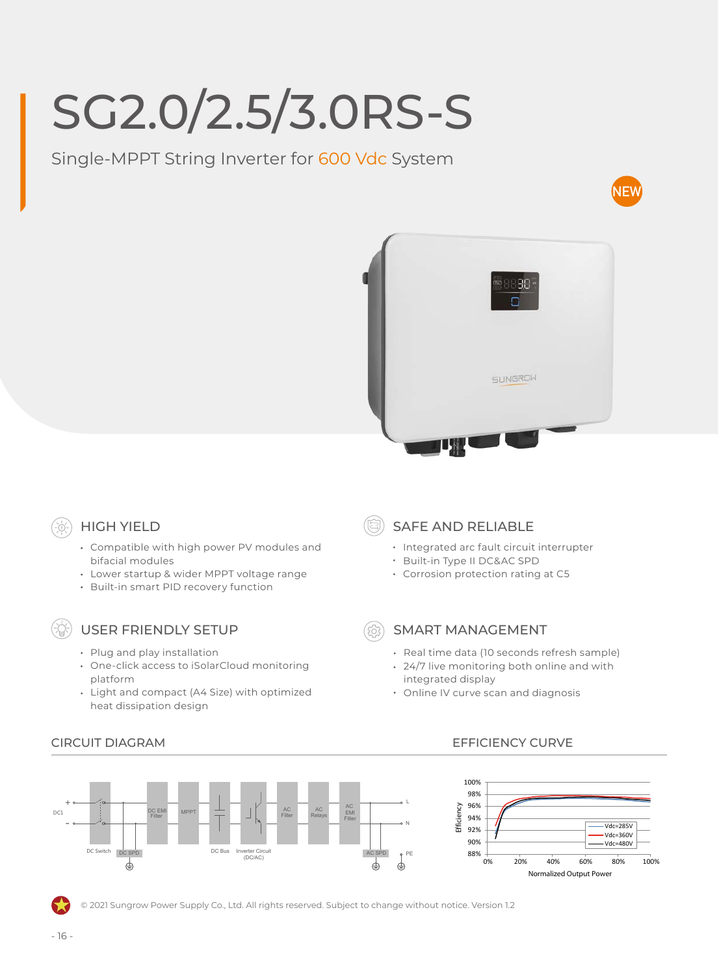# SG2.0/2.5/3.0RS-S

Single-MPPT String Inverter for 600 Vdc System





## HIGH YIELD

- Compatible with high power PV modules and bifacial modules
- Lower startup & wider MPPT voltage range
- Built-in smart PID recovery function

### USER FRIENDLY SETUP

- Plug and play installation
- One-click access to iSolarCloud monitoring platform
- Light and compact (A4 Size) with optimized heat dissipation design
- SAFE AND RELIABLE
	- Integrated arc fault circuit interrupter
	- Built-in Type II DC&AC SPD
	- Corrosion protection rating at C5

#### SMART MANAGEMENT

- Real time data (10 seconds refresh sample)
- 24/7 live monitoring both online and with integrated display
- Online IV curve scan and diagnosis



#### CIRCUIT DIAGRAM EFFICIENCY CURVE



© 2021 Sungrow Power Supply Co., Ltd. All rights reserved. Subject to change without notice. Version 1.2